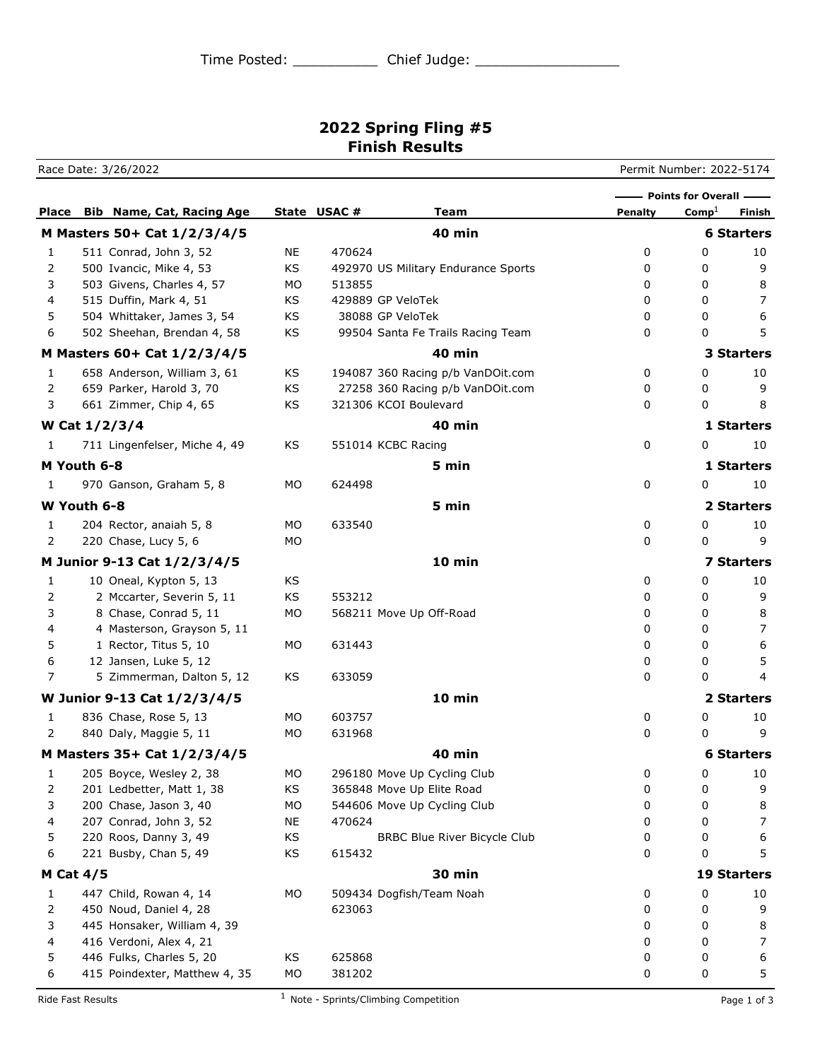## **2022 Spring Fling #5 Finish Results**

Race Date: 3/26/2022 Permit Number: 2022-5174

**Place Bib Name, Cat, Racing Age State** USAC # **Team Penalty** Comp<sup>1</sup> Finish **Points for Overall M Masters 50+ Cat 1/2/3/4/5 40 min 6 Starters** 1 511 Conrad, John 3, 52 NE 470624 0 0 10 2 500 Ivancic, Mike 4, 53 KS 492970 US Military Endurance Sports 0 0 0 9 3 503 Givens, Charles 4, 57 MO 513855 0 0 8 4 515 Duffin, Mark 4, 51 KS 429889 GP VeloTek 0 0 7 5 504 Whittaker, James 3, 54 KS 38088 GP VeloTek 0 0 6 6 502 Sheehan, Brendan 4, 58 KS 99504 Santa Fe Trails Racing Team 0 0 5 **M Masters 60+ Cat 1/2/3/4/5 40 min 3 Starters** 1 658 Anderson, William 3, 61 KS 194087 360 Racing p/b VanDOit.com 0 0 10 2 659 Parker, Harold 3, 70 KS 27258 360 Racing p/b VanDOit.com 0 0 9 3 661 Zimmer, Chip 4, 65 KS 321306 KCOI Boulevard 6 0 0 8 **W Cat 1/2/3/4 40 min 1 Starters** 1 711 Lingenfelser, Miche 4, 49 KS 551014 KCBC Racing 0 0 10 **M Youth 6-8 5 min 1 Starters** 1 970 Ganson, Graham 5, 8 MO 624498 0 0 10 **W Youth 6-8 5 min 2 Starters** 1 204 Rector, anaiah 5, 8 MO 633540 0 0 10 2 220 Chase, Lucy 5, 6 MO 0 0 0 9 **M Junior 9-13 Cat 1/2/3/4/5 10 min 7 Starters** 1 10 Oneal, Kypton 5, 13 KS 0 0 10 2 2 Mccarter, Severin 5, 11 KS 553212 1 0 0 9 3 8 Chase, Conrad 5, 11 MO 568211 Move Up Off-Road 0 0 8 4 4 Masterson, Grayson 5, 11 0 0 7 5 1 Rector, Titus 5, 10 MO 631443 0 0 6 6 12 Jansen, Luke 5, 12 0 0 5 7 5 Zimmerman, Dalton 5, 12 KS 633059 0 0 4 **W Junior 9-13 Cat 1/2/3/4/5 10 min 2 Starters** 1 836 Chase, Rose 5, 13 MO 603757 0 0 10 2 840 Daly, Maggie 5, 11 MO 631968 10 0 0 9 **M Masters 35+ Cat 1/2/3/4/5 40 min 6 Starters** 1 205 Boyce, Wesley 2, 38 MO 296180 Move Up Cycling Club 0 0 10 2 201 Ledbetter, Matt 1, 38 KS 365848 Move Up Elite Road 0 0 9 3 200 Chase, Jason 3, 40 MO 544606 Move Up Cycling Club 0 0 8 4 207 Conrad, John 3, 52 NE 470624 0 0 7 5 220 Roos, Danny 3, 49 KS BRBC Blue River Bicycle Club 0 0 6 6 221 Busby, Chan 5, 49 KS 615432 0 0 5 **M Cat 4/5 30 min 19 Starters** 1 447 Child, Rowan 4, 14 MO 509434 Dogfish/Team Noah 0 0 10 2 450 Noud, Daniel 4, 28 623063 0 0 9 3 445 Honsaker, William 4, 39 0 0 8 4 416 Verdoni, Alex 4, 21 0 0 7 5 446 Fulks, Charles 5, 20 KS 625868 0 0 6 6 415 Poindexter, Matthew 4, 35 MO 381202 0 0 5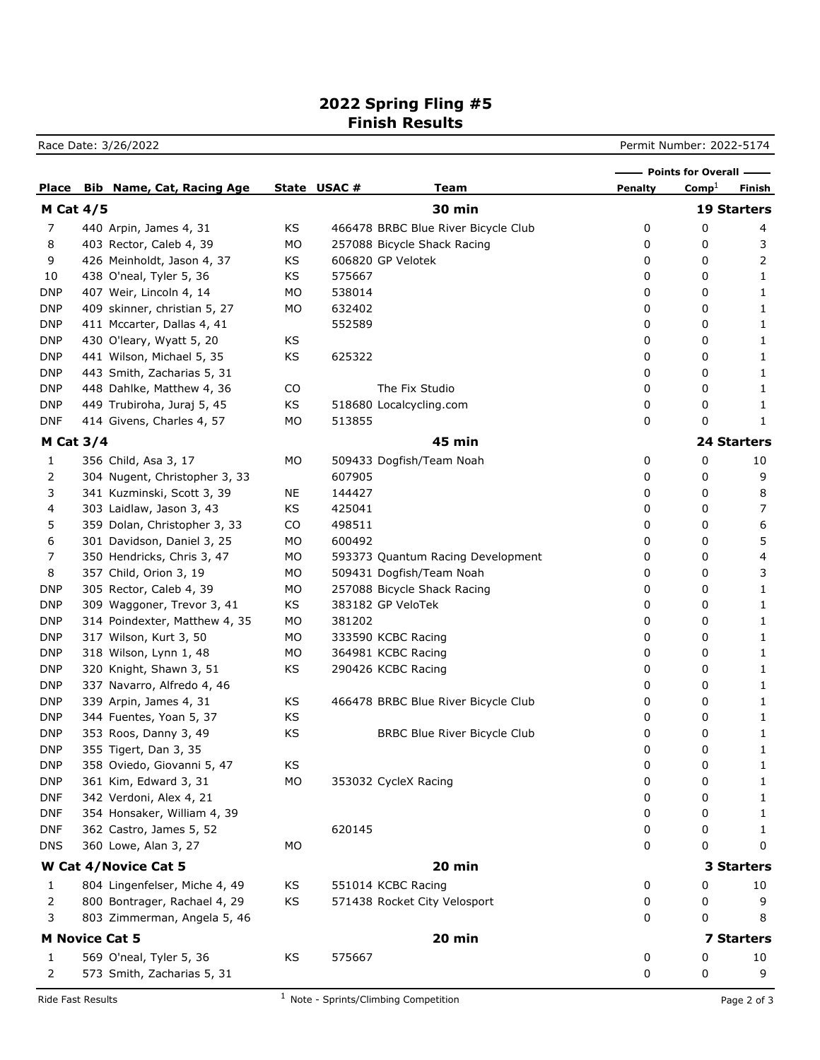## **2022 Spring Fling #5 Finish Results**

Race Date: 3/26/2022 **Permit Number: 2022-5174** 

|                      |  |                                  |    |             |                                     | - Points for Overall - |                   |                    |
|----------------------|--|----------------------------------|----|-------------|-------------------------------------|------------------------|-------------------|--------------------|
| Place                |  | <b>Bib Name, Cat, Racing Age</b> |    | State USAC# | <b>Team</b>                         | Penalty                | Comp <sup>1</sup> | Finish             |
| <b>M Cat 4/5</b>     |  |                                  |    |             | <b>30 min</b>                       |                        |                   | <b>19 Starters</b> |
| 7                    |  | 440 Arpin, James 4, 31           | KS |             | 466478 BRBC Blue River Bicycle Club | 0                      | 0                 | 4                  |
| 8                    |  | 403 Rector, Caleb 4, 39          | MO |             | 257088 Bicycle Shack Racing         | 0                      | 0                 | 3                  |
| 9                    |  | 426 Meinholdt, Jason 4, 37       | KS |             | 606820 GP Velotek                   | 0                      | 0                 | 2                  |
| 10                   |  | 438 O'neal, Tyler 5, 36          | KS | 575667      |                                     | 0                      | 0                 | 1                  |
| <b>DNP</b>           |  | 407 Weir, Lincoln 4, 14          | MO | 538014      |                                     | 0                      | 0                 | 1                  |
| <b>DNP</b>           |  | 409 skinner, christian 5, 27     | MO | 632402      |                                     | 0                      | 0                 | 1                  |
| <b>DNP</b>           |  | 411 Mccarter, Dallas 4, 41       |    | 552589      |                                     | 0                      | 0                 | 1                  |
| <b>DNP</b>           |  | 430 O'leary, Wyatt 5, 20         | KS |             |                                     | 0                      | 0                 | 1                  |
| <b>DNP</b>           |  | 441 Wilson, Michael 5, 35        | KS | 625322      |                                     | 0                      | 0                 | 1                  |
| <b>DNP</b>           |  | 443 Smith, Zacharias 5, 31       |    |             |                                     | 0                      | 0                 | 1                  |
| <b>DNP</b>           |  | 448 Dahlke, Matthew 4, 36        | CO |             | The Fix Studio                      | 0                      | 0                 | 1                  |
| <b>DNP</b>           |  | 449 Trubiroha, Juraj 5, 45       | KS |             | 518680 Localcycling.com             | 0                      | 0                 | 1                  |
| <b>DNF</b>           |  | 414 Givens, Charles 4, 57        | MO | 513855      |                                     | 0                      | 0                 | 1                  |
| <b>M Cat 3/4</b>     |  |                                  |    |             | <b>45 min</b>                       |                        |                   | <b>24 Starters</b> |
| 1                    |  | 356 Child, Asa 3, 17             | MO |             | 509433 Dogfish/Team Noah            | 0                      | 0                 | 10                 |
| 2                    |  | 304 Nugent, Christopher 3, 33    |    | 607905      |                                     | 0                      | 0                 | 9                  |
| 3                    |  | 341 Kuzminski, Scott 3, 39       | NE | 144427      |                                     | 0                      | 0                 | 8                  |
| 4                    |  | 303 Laidlaw, Jason 3, 43         | KS | 425041      |                                     | 0                      | 0                 | $\overline{7}$     |
| 5                    |  | 359 Dolan, Christopher 3, 33     | CO | 498511      |                                     | 0                      | 0                 | 6                  |
| 6                    |  | 301 Davidson, Daniel 3, 25       | MO | 600492      |                                     | 0                      | 0                 | 5                  |
| 7                    |  | 350 Hendricks, Chris 3, 47       | MO |             | 593373 Quantum Racing Development   | 0                      | 0                 | 4                  |
| 8                    |  | 357 Child, Orion 3, 19           | MO |             | 509431 Dogfish/Team Noah            | 0                      | 0                 | 3                  |
| <b>DNP</b>           |  | 305 Rector, Caleb 4, 39          | MO |             | 257088 Bicycle Shack Racing         | 0                      | 0                 | 1                  |
| <b>DNP</b>           |  | 309 Waggoner, Trevor 3, 41       | ΚS |             | 383182 GP VeloTek                   | 0                      | 0                 | 1                  |
| <b>DNP</b>           |  | 314 Poindexter, Matthew 4, 35    | MO | 381202      |                                     | 0                      | 0                 | 1                  |
| <b>DNP</b>           |  | 317 Wilson, Kurt 3, 50           | MO |             | 333590 KCBC Racing                  | 0                      | 0                 | 1                  |
| <b>DNP</b>           |  | 318 Wilson, Lynn 1, 48           | MO |             | 364981 KCBC Racing                  | 0                      | 0                 | 1                  |
| <b>DNP</b>           |  | 320 Knight, Shawn 3, 51          | KS |             | 290426 KCBC Racing                  | 0                      | 0                 | 1                  |
| <b>DNP</b>           |  | 337 Navarro, Alfredo 4, 46       |    |             |                                     | 0                      | 0                 | 1                  |
| <b>DNP</b>           |  | 339 Arpin, James 4, 31           | KS |             | 466478 BRBC Blue River Bicycle Club | 0                      | 0                 | 1                  |
| <b>DNP</b>           |  | 344 Fuentes, Yoan 5, 37          | KS |             |                                     | 0                      | 0                 | 1                  |
| <b>DNP</b>           |  | 353 Roos, Danny 3, 49            | KS |             | <b>BRBC Blue River Bicycle Club</b> | 0                      | 0                 | 1                  |
| <b>DNP</b>           |  | 355 Tigert, Dan 3, 35            |    |             |                                     | 0                      | 0                 | 1                  |
| <b>DNP</b>           |  | 358 Oviedo, Giovanni 5, 47       | KS |             |                                     | 0                      | 0                 | 1                  |
| <b>DNP</b>           |  | 361 Kim, Edward 3, 31            | MO |             | 353032 CycleX Racing                | 0                      | 0                 | 1                  |
| <b>DNF</b>           |  | 342 Verdoni, Alex 4, 21          |    |             |                                     | 0                      | 0                 | 1                  |
| <b>DNF</b>           |  | 354 Honsaker, William 4, 39      |    |             |                                     | 0                      | 0                 | 1                  |
| <b>DNF</b>           |  | 362 Castro, James 5, 52          |    | 620145      |                                     | 0                      | 0                 | 1                  |
| <b>DNS</b>           |  | 360 Lowe, Alan 3, 27             | MO |             |                                     | 0                      | 0                 | 0                  |
| W Cat 4/Novice Cat 5 |  |                                  |    |             | 20 min                              |                        |                   | 3 Starters         |
| 1                    |  | 804 Lingenfelser, Miche 4, 49    | KS |             | 551014 KCBC Racing                  | 0                      | 0                 | 10                 |
| 2                    |  | 800 Bontrager, Rachael 4, 29     | KS |             | 571438 Rocket City Velosport        | 0                      | 0                 | 9                  |
| 3                    |  | 803 Zimmerman, Angela 5, 46      |    |             |                                     | 0                      | 0                 | 8                  |
|                      |  | <b>M Novice Cat 5</b>            |    |             | 20 min                              |                        |                   | <b>7 Starters</b>  |
|                      |  |                                  |    |             |                                     |                        |                   |                    |
| 1                    |  | 569 O'neal, Tyler 5, 36          | KS | 575667      |                                     | 0                      | 0                 | 10                 |
| 2                    |  | 573 Smith, Zacharias 5, 31       |    |             |                                     | 0                      | 0                 | 9                  |